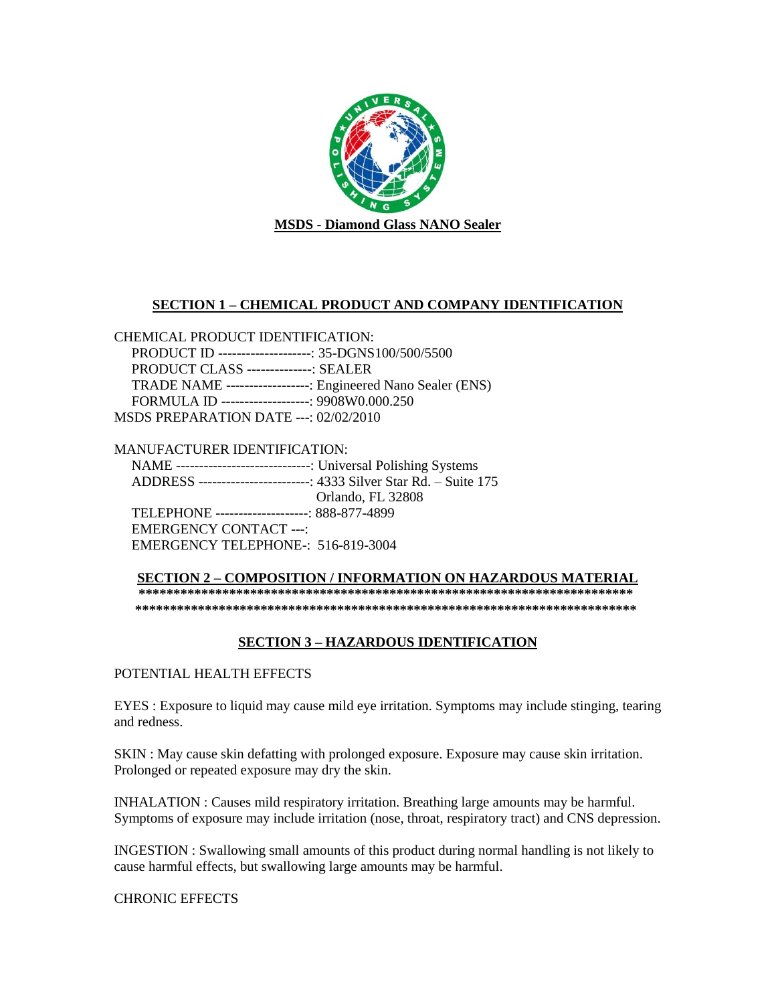

## **SECTION 1 – CHEMICAL PRODUCT AND COMPANY IDENTIFICATION**

CHEMICAL PRODUCT IDENTIFICATION: PRODUCT ID --------------------: 35-DGNS100/500/5500 PRODUCT CLASS --------------: SEALER TRADE NAME ------------------: Engineered Nano Sealer (ENS) FORMULA ID -------------------: 9908W0.000.250 MSDS PREPARATION DATE ---: 02/02/2010

MANUFACTURER IDENTIFICATION: NAME -----------------------------: Universal Polishing Systems ADDRESS ------------------------: 4333 Silver Star Rd. – Suite 175 Orlando, FL 32808 TELEPHONE --------------------: 888-877-4899 EMERGENCY CONTACT ---: EMERGENCY TELEPHONE-: 516-819-3004

**SECTION 2 – COMPOSITION / INFORMATION ON HAZARDOUS MATERIAL \*\*\*\*\*\*\*\*\*\*\*\*\*\*\*\*\*\*\*\*\*\*\*\*\*\*\*\*\*\*\*\*\*\*\*\*\*\*\*\*\*\*\*\*\*\*\*\*\*\*\*\*\*\*\*\*\*\*\*\*\*\*\*\*\*\*\*\*\*\*\* \*\*\*\*\*\*\*\*\*\*\*\*\*\*\*\*\*\*\*\*\*\*\*\*\*\*\*\*\*\*\*\*\*\*\*\*\*\*\*\*\*\*\*\*\*\*\*\*\*\*\*\*\*\*\*\*\*\*\*\*\*\*\*\*\*\*\*\*\*\*\*\***

# **SECTION 3 – HAZARDOUS IDENTIFICATION**

POTENTIAL HEALTH EFFECTS

EYES : Exposure to liquid may cause mild eye irritation. Symptoms may include stinging, tearing and redness.

SKIN : May cause skin defatting with prolonged exposure. Exposure may cause skin irritation. Prolonged or repeated exposure may dry the skin.

INHALATION : Causes mild respiratory irritation. Breathing large amounts may be harmful. Symptoms of exposure may include irritation (nose, throat, respiratory tract) and CNS depression.

INGESTION : Swallowing small amounts of this product during normal handling is not likely to cause harmful effects, but swallowing large amounts may be harmful.

CHRONIC EFFECTS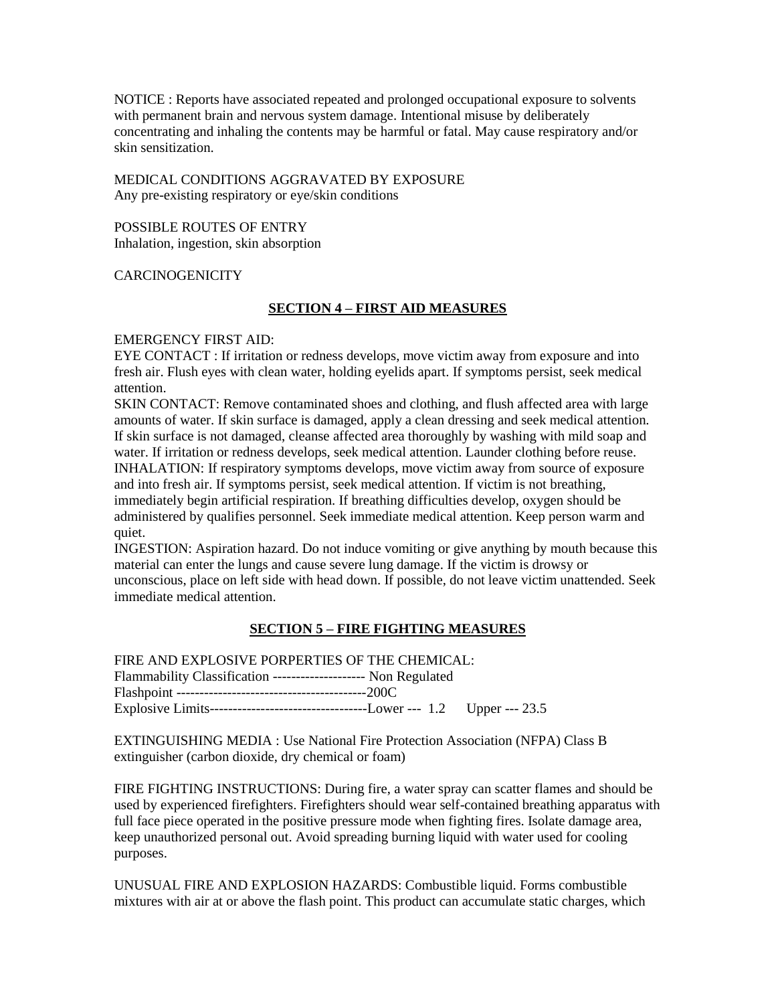NOTICE : Reports have associated repeated and prolonged occupational exposure to solvents with permanent brain and nervous system damage. Intentional misuse by deliberately concentrating and inhaling the contents may be harmful or fatal. May cause respiratory and/or skin sensitization.

## MEDICAL CONDITIONS AGGRAVATED BY EXPOSURE Any pre-existing respiratory or eye/skin conditions

### POSSIBLE ROUTES OF ENTRY Inhalation, ingestion, skin absorption

## **CARCINOGENICITY**

## **SECTION 4 – FIRST AID MEASURES**

## EMERGENCY FIRST AID:

EYE CONTACT : If irritation or redness develops, move victim away from exposure and into fresh air. Flush eyes with clean water, holding eyelids apart. If symptoms persist, seek medical attention.

SKIN CONTACT: Remove contaminated shoes and clothing, and flush affected area with large amounts of water. If skin surface is damaged, apply a clean dressing and seek medical attention. If skin surface is not damaged, cleanse affected area thoroughly by washing with mild soap and water. If irritation or redness develops, seek medical attention. Launder clothing before reuse. INHALATION: If respiratory symptoms develops, move victim away from source of exposure and into fresh air. If symptoms persist, seek medical attention. If victim is not breathing, immediately begin artificial respiration. If breathing difficulties develop, oxygen should be administered by qualifies personnel. Seek immediate medical attention. Keep person warm and quiet.

INGESTION: Aspiration hazard. Do not induce vomiting or give anything by mouth because this material can enter the lungs and cause severe lung damage. If the victim is drowsy or unconscious, place on left side with head down. If possible, do not leave victim unattended. Seek immediate medical attention.

## **SECTION 5 – FIRE FIGHTING MEASURES**

FIRE AND EXPLOSIVE PORPERTIES OF THE CHEMICAL:

Flammability Classification -------------------- Non Regulated Flashpoint -----------------------------------------200C Explosive Limits----------------------------------Lower --- 1.2 Upper --- 23.5

EXTINGUISHING MEDIA : Use National Fire Protection Association (NFPA) Class B extinguisher (carbon dioxide, dry chemical or foam)

FIRE FIGHTING INSTRUCTIONS: During fire, a water spray can scatter flames and should be used by experienced firefighters. Firefighters should wear self-contained breathing apparatus with full face piece operated in the positive pressure mode when fighting fires. Isolate damage area, keep unauthorized personal out. Avoid spreading burning liquid with water used for cooling purposes.

UNUSUAL FIRE AND EXPLOSION HAZARDS: Combustible liquid. Forms combustible mixtures with air at or above the flash point. This product can accumulate static charges, which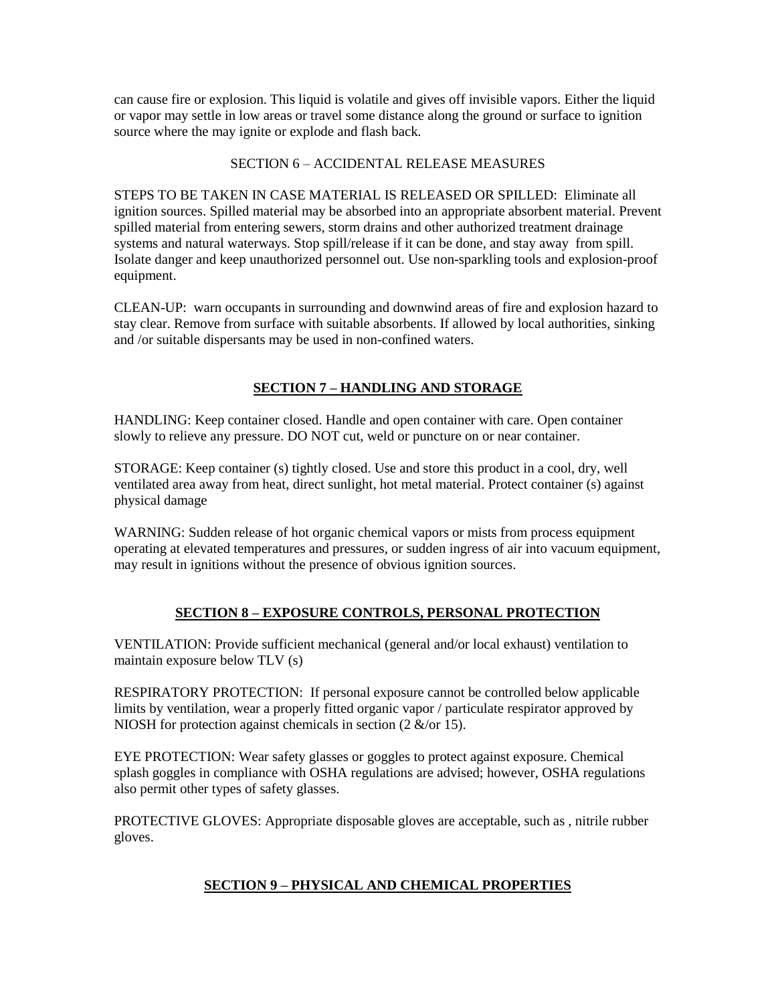can cause fire or explosion. This liquid is volatile and gives off invisible vapors. Either the liquid or vapor may settle in low areas or travel some distance along the ground or surface to ignition source where the may ignite or explode and flash back.

## SECTION 6 – ACCIDENTAL RELEASE MEASURES

STEPS TO BE TAKEN IN CASE MATERIAL IS RELEASED OR SPILLED: Eliminate all ignition sources. Spilled material may be absorbed into an appropriate absorbent material. Prevent spilled material from entering sewers, storm drains and other authorized treatment drainage systems and natural waterways. Stop spill/release if it can be done, and stay away from spill. Isolate danger and keep unauthorized personnel out. Use non-sparkling tools and explosion-proof equipment.

CLEAN-UP: warn occupants in surrounding and downwind areas of fire and explosion hazard to stay clear. Remove from surface with suitable absorbents. If allowed by local authorities, sinking and /or suitable dispersants may be used in non-confined waters.

# **SECTION 7 – HANDLING AND STORAGE**

HANDLING: Keep container closed. Handle and open container with care. Open container slowly to relieve any pressure. DO NOT cut, weld or puncture on or near container.

STORAGE: Keep container (s) tightly closed. Use and store this product in a cool, dry, well ventilated area away from heat, direct sunlight, hot metal material. Protect container (s) against physical damage

WARNING: Sudden release of hot organic chemical vapors or mists from process equipment operating at elevated temperatures and pressures, or sudden ingress of air into vacuum equipment, may result in ignitions without the presence of obvious ignition sources.

## **SECTION 8 – EXPOSURE CONTROLS, PERSONAL PROTECTION**

VENTILATION: Provide sufficient mechanical (general and/or local exhaust) ventilation to maintain exposure below TLV (s)

RESPIRATORY PROTECTION: If personal exposure cannot be controlled below applicable limits by ventilation, wear a properly fitted organic vapor / particulate respirator approved by NIOSH for protection against chemicals in section  $(2 \&/$  or 15).

EYE PROTECTION: Wear safety glasses or goggles to protect against exposure. Chemical splash goggles in compliance with OSHA regulations are advised; however, OSHA regulations also permit other types of safety glasses.

PROTECTIVE GLOVES: Appropriate disposable gloves are acceptable, such as , nitrile rubber gloves.

# **SECTION 9 – PHYSICAL AND CHEMICAL PROPERTIES**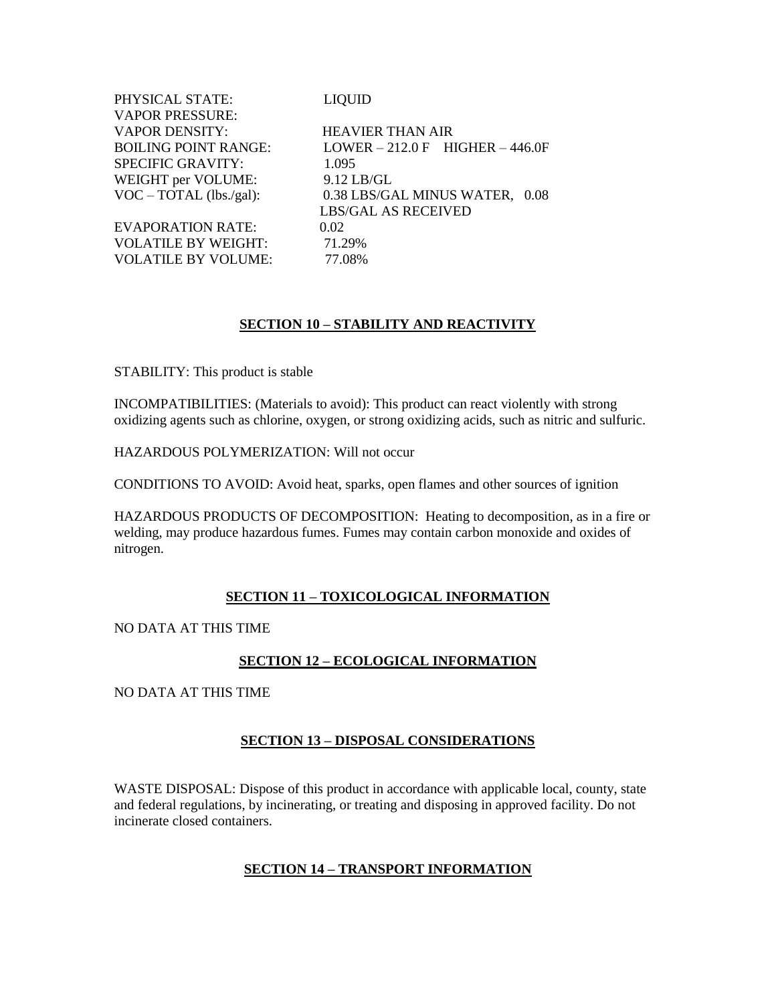| LIQUID                             |
|------------------------------------|
|                                    |
| <b>HEAVIER THAN AIR</b>            |
| $LOWER - 212.0 F$ HIGHER $-446.0F$ |
| 1.095                              |
| $9.12$ LB/GL                       |
| 0.38 LBS/GAL MINUS WATER, 0.08     |
| <b>LBS/GAL AS RECEIVED</b>         |
| 0.02                               |
| 71.29%                             |
| 77.08%                             |
|                                    |

## **SECTION 10 – STABILITY AND REACTIVITY**

STABILITY: This product is stable

INCOMPATIBILITIES: (Materials to avoid): This product can react violently with strong oxidizing agents such as chlorine, oxygen, or strong oxidizing acids, such as nitric and sulfuric.

HAZARDOUS POLYMERIZATION: Will not occur

CONDITIONS TO AVOID: Avoid heat, sparks, open flames and other sources of ignition

HAZARDOUS PRODUCTS OF DECOMPOSITION: Heating to decomposition, as in a fire or welding, may produce hazardous fumes. Fumes may contain carbon monoxide and oxides of nitrogen.

#### **SECTION 11 – TOXICOLOGICAL INFORMATION**

NO DATA AT THIS TIME

#### **SECTION 12 – ECOLOGICAL INFORMATION**

NO DATA AT THIS TIME

## **SECTION 13 – DISPOSAL CONSIDERATIONS**

WASTE DISPOSAL: Dispose of this product in accordance with applicable local, county, state and federal regulations, by incinerating, or treating and disposing in approved facility. Do not incinerate closed containers.

## **SECTION 14 – TRANSPORT INFORMATION**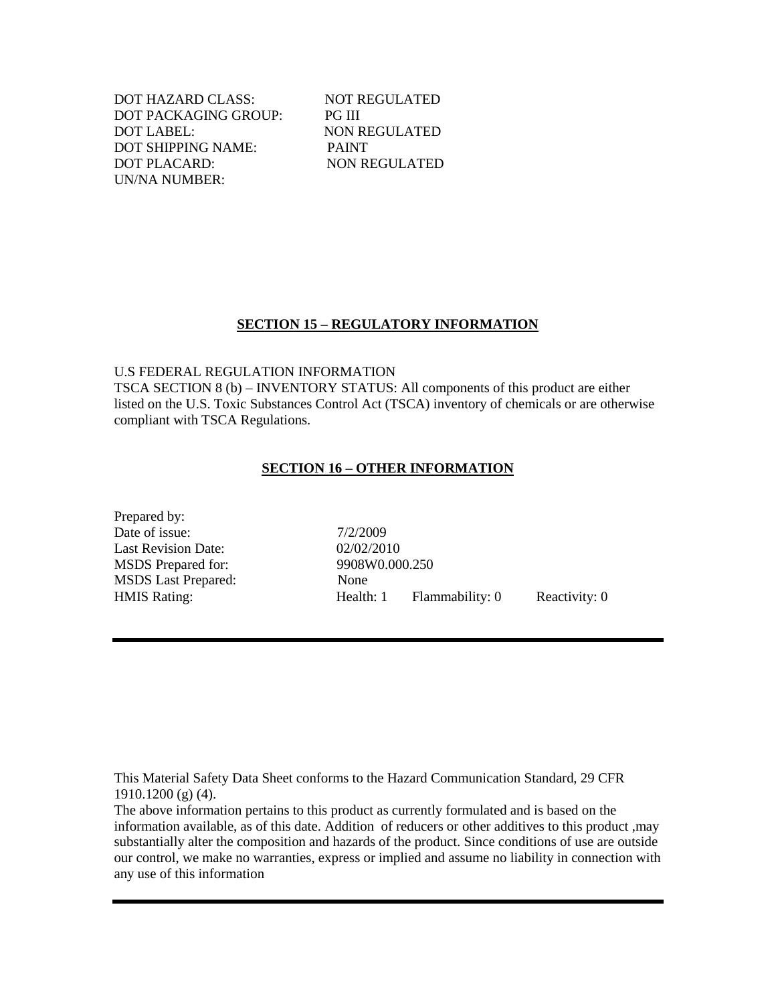DOT HAZARD CLASS: NOT REGULATED DOT PACKAGING GROUP: PG III DOT LABEL: NON REGULATED DOT SHIPPING NAME: PAINT DOT PLACARD: NON REGULATED UN/NA NUMBER:

## **SECTION 15 – REGULATORY INFORMATION**

U.S FEDERAL REGULATION INFORMATION

TSCA SECTION 8 (b) – INVENTORY STATUS: All components of this product are either listed on the U.S. Toxic Substances Control Act (TSCA) inventory of chemicals or are otherwise compliant with TSCA Regulations.

### **SECTION 16 – OTHER INFORMATION**

Prepared by: Date of issue:  $7/2/2009$ Last Revision Date: 02/02/2010 MSDS Prepared for: 9908W0.000.250 MSDS Last Prepared: None

HMIS Rating: The Realth: 1 Flammability: 0 Reactivity: 0

This Material Safety Data Sheet conforms to the Hazard Communication Standard, 29 CFR 1910.1200 (g) (4).

The above information pertains to this product as currently formulated and is based on the information available, as of this date. Addition of reducers or other additives to this product ,may substantially alter the composition and hazards of the product. Since conditions of use are outside our control, we make no warranties, express or implied and assume no liability in connection with any use of this information